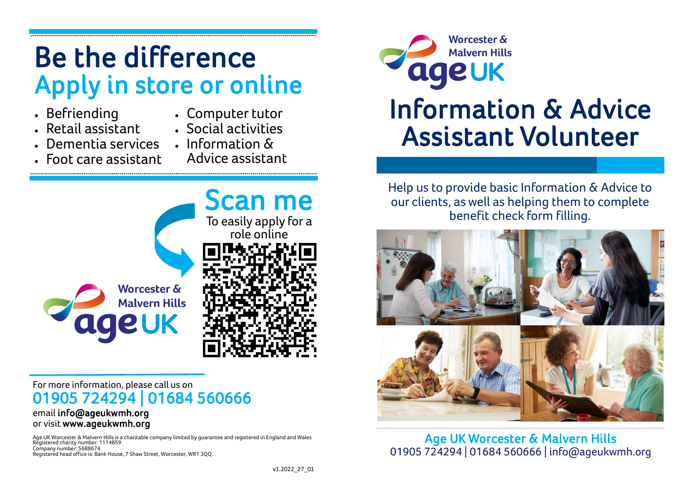# Be the difference Apply in store or online

- Befriending
- Retail assistant
- Computer tutor
- Social activities
- Dementia services Information &
	- Advice assistant
- Foot care assistant



## For more information, please call us on 01905 724294 | 01684 560666

#### email info@ageukwmh.org or visit www.ageukwmh.org

Age UK Worcester & Malvern Hills is a charitable company limited by guarantee and registered in England and Wales Registered charity number: 1114859 Company number: 5688674 Registered head office is: Bank House, 7 Shaw Street, Worcester, WR1 3QQ.



# Information & Advice Assistant Volunteer

Help us to provide basic Information & Advice to our clients, as well as helping them to complete benefit check form filling.



Age UK Worcester & Malvern Hills 01905 724294 | 01684 560666 | info@ageukwmh.org